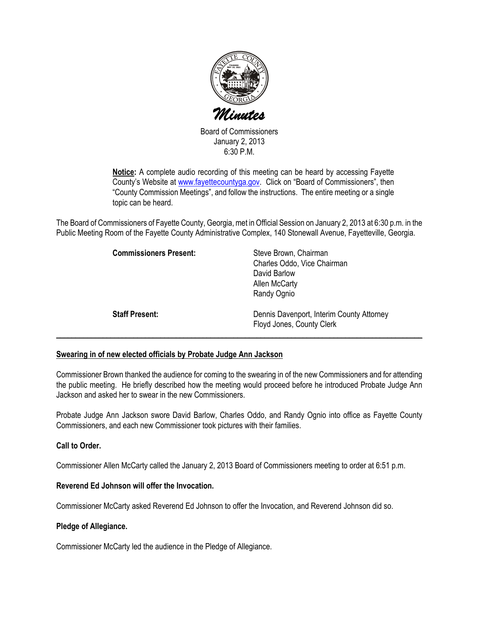

Board of Commissioners January 2, 2013 6:30 P.M.

Notice: A complete audio recording of this meeting can be heard by accessing Fayette County's Website at www.fayettecountyga.gov. Click on "Board of Commissioners", then "County Commission Meetings", and follow the instructions. The entire meeting or a single topic can be heard.

The Board of Commissioners of Fayette County, Georgia, met in Official Session on January 2, 2013 at 6:30 p.m. in the Public Meeting Room of the Fayette County Administrative Complex, 140 Stonewall Avenue, Fayetteville, Georgia.

| <b>Commissioners Present:</b> | Steve Brown, Chairman<br>Charles Oddo, Vice Chairman<br>David Barlow<br>Allen McCarty<br>Randy Ognio |
|-------------------------------|------------------------------------------------------------------------------------------------------|
| <b>Staff Present:</b>         | Dennis Davenport, Interim County Attorney<br>Floyd Jones, County Clerk                               |

 $\overline{\phantom{a}}$  , and the contribution of the contribution of the contribution of the contribution of the contribution of the contribution of the contribution of the contribution of the contribution of the contribution of the

# Swearing in of new elected officials by Probate Judge Ann Jackson

Commissioner Brown thanked the audience for coming to the swearing in of the new Commissioners and for attending the public meeting. He briefly described how the meeting would proceed before he introduced Probate Judge Ann Jackson and asked her to swear in the new Commissioners.

Probate Judge Ann Jackson swore David Barlow, Charles Oddo, and Randy Ognio into office as Fayette County Commissioners, and each new Commissioner took pictures with their families.

# Call to Order.

Commissioner Allen McCarty called the January 2, 2013 Board of Commissioners meeting to order at 6:51 p.m.

## Reverend Ed Johnson will offer the Invocation.

Commissioner McCarty asked Reverend Ed Johnson to offer the Invocation, and Reverend Johnson did so.

## Pledge of Allegiance.

Commissioner McCarty led the audience in the Pledge of Allegiance.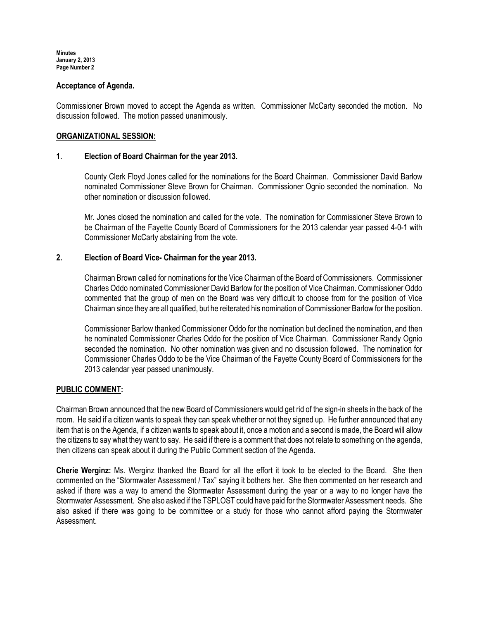### Acceptance of Agenda.

Commissioner Brown moved to accept the Agenda as written. Commissioner McCarty seconded the motion. No discussion followed. The motion passed unanimously.

### ORGANIZATIONAL SESSION:

#### 1. Election of Board Chairman for the year 2013.

County Clerk Floyd Jones called for the nominations for the Board Chairman. Commissioner David Barlow nominated Commissioner Steve Brown for Chairman. Commissioner Ognio seconded the nomination. No other nomination or discussion followed.

Mr. Jones closed the nomination and called for the vote. The nomination for Commissioner Steve Brown to be Chairman of the Fayette County Board of Commissioners for the 2013 calendar year passed 4-0-1 with Commissioner McCarty abstaining from the vote.

## 2. Election of Board Vice- Chairman for the year 2013.

Chairman Brown called for nominations for the Vice Chairman of the Board of Commissioners. Commissioner Charles Oddo nominated Commissioner David Barlow for the position of Vice Chairman. Commissioner Oddo commented that the group of men on the Board was very difficult to choose from for the position of Vice Chairman since they are all qualified, but he reiterated his nomination of Commissioner Barlow for the position.

Commissioner Barlow thanked Commissioner Oddo for the nomination but declined the nomination, and then he nominated Commissioner Charles Oddo for the position of Vice Chairman. Commissioner Randy Ognio seconded the nomination. No other nomination was given and no discussion followed. The nomination for Commissioner Charles Oddo to be the Vice Chairman of the Fayette County Board of Commissioners for the 2013 calendar year passed unanimously.

## PUBLIC COMMENT:

Chairman Brown announced that the new Board of Commissioners would get rid of the sign-in sheets in the back of the room. He said if a citizen wants to speak they can speak whether or not they signed up. He further announced that any item that is on the Agenda, if a citizen wants to speak about it, once a motion and a second is made, the Board will allow the citizens to say what they want to say. He said if there is a comment that does not relate to something on the agenda, then citizens can speak about it during the Public Comment section of the Agenda.

Cherie Werginz: Ms. Werginz thanked the Board for all the effort it took to be elected to the Board. She then commented on the "Stormwater Assessment / Tax" saying it bothers her. She then commented on her research and asked if there was a way to amend the Stormwater Assessment during the year or a way to no longer have the Stormwater Assessment. She also asked if the TSPLOST could have paid for the Stormwater Assessment needs. She also asked if there was going to be committee or a study for those who cannot afford paying the Stormwater **Assessment**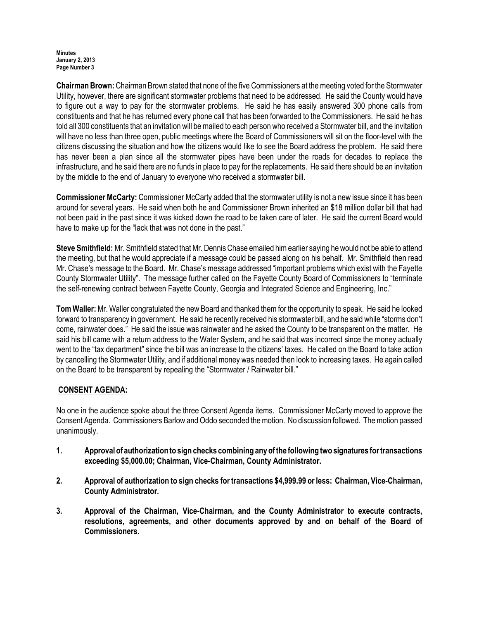Chairman Brown: Chairman Brown stated that none of the five Commissioners at the meeting voted for the Stormwater Utility, however, there are significant stormwater problems that need to be addressed. He said the County would have to figure out a way to pay for the stormwater problems. He said he has easily answered 300 phone calls from constituents and that he has returned every phone call that has been forwarded to the Commissioners. He said he has told all 300 constituents that an invitation will be mailed to each person who received a Stormwater bill, and the invitation will have no less than three open, public meetings where the Board of Commissioners will sit on the floor-level with the citizens discussing the situation and how the citizens would like to see the Board address the problem. He said there has never been a plan since all the stormwater pipes have been under the roads for decades to replace the infrastructure, and he said there are no funds in place to pay for the replacements. He said there should be an invitation by the middle to the end of January to everyone who received a stormwater bill.

Commissioner McCarty: Commissioner McCarty added that the stormwater utility is not a new issue since it has been around for several years. He said when both he and Commissioner Brown inherited an \$18 million dollar bill that had not been paid in the past since it was kicked down the road to be taken care of later. He said the current Board would have to make up for the "lack that was not done in the past."

Steve Smithfield: Mr. Smithfield stated that Mr. Dennis Chase emailed him earlier saying he would not be able to attend the meeting, but that he would appreciate if a message could be passed along on his behalf. Mr. Smithfield then read Mr. Chase's message to the Board. Mr. Chase's message addressed "important problems which exist with the Fayette County Stormwater Utility". The message further called on the Fayette County Board of Commissioners to "terminate the self-renewing contract between Fayette County, Georgia and Integrated Science and Engineering, Inc."

Tom Waller: Mr. Waller congratulated the new Board and thanked them for the opportunity to speak. He said he looked forward to transparency in government. He said he recently received his stormwater bill, and he said while "storms don't come, rainwater does." He said the issue was rainwater and he asked the County to be transparent on the matter. He said his bill came with a return address to the Water System, and he said that was incorrect since the money actually went to the "tax department" since the bill was an increase to the citizens' taxes. He called on the Board to take action by cancelling the Stormwater Utility, and if additional money was needed then look to increasing taxes. He again called on the Board to be transparent by repealing the "Stormwater / Rainwater bill."

# CONSENT AGENDA:

No one in the audience spoke about the three Consent Agenda items. Commissioner McCarty moved to approve the Consent Agenda. Commissioners Barlow and Oddo seconded the motion. No discussion followed. The motion passed unanimously.

- 1. Approval of authorization to sign checks combining any of the following two signatures for transactions exceeding \$5,000.00; Chairman, Vice-Chairman, County Administrator.
- 2. Approval of authorization to sign checks for transactions \$4,999.99 or less: Chairman, Vice-Chairman, County Administrator.
- 3. Approval of the Chairman, Vice-Chairman, and the County Administrator to execute contracts, resolutions, agreements, and other documents approved by and on behalf of the Board of Commissioners.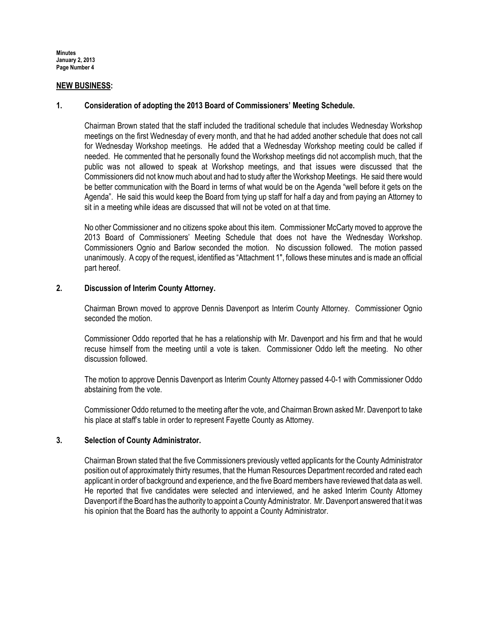#### NEW BUSINESS:

### 1. Consideration of adopting the 2013 Board of Commissioners' Meeting Schedule.

Chairman Brown stated that the staff included the traditional schedule that includes Wednesday Workshop meetings on the first Wednesday of every month, and that he had added another schedule that does not call for Wednesday Workshop meetings. He added that a Wednesday Workshop meeting could be called if needed. He commented that he personally found the Workshop meetings did not accomplish much, that the public was not allowed to speak at Workshop meetings, and that issues were discussed that the Commissioners did not know much about and had to study after the Workshop Meetings. He said there would be better communication with the Board in terms of what would be on the Agenda "well before it gets on the Agenda". He said this would keep the Board from tying up staff for half a day and from paying an Attorney to sit in a meeting while ideas are discussed that will not be voted on at that time.

No other Commissioner and no citizens spoke about this item. Commissioner McCarty moved to approve the 2013 Board of Commissioners' Meeting Schedule that does not have the Wednesday Workshop. Commissioners Ognio and Barlow seconded the motion. No discussion followed. The motion passed unanimously. A copy of the request, identified as "Attachment 1", follows these minutes and is made an official part hereof.

#### 2. Discussion of Interim County Attorney.

Chairman Brown moved to approve Dennis Davenport as Interim County Attorney. Commissioner Ognio seconded the motion.

Commissioner Oddo reported that he has a relationship with Mr. Davenport and his firm and that he would recuse himself from the meeting until a vote is taken. Commissioner Oddo left the meeting. No other discussion followed.

The motion to approve Dennis Davenport as Interim County Attorney passed 4-0-1 with Commissioner Oddo abstaining from the vote.

Commissioner Oddo returned to the meeting after the vote, and Chairman Brown asked Mr. Davenport to take his place at staff's table in order to represent Fayette County as Attorney.

#### 3. Selection of County Administrator.

Chairman Brown stated that the five Commissioners previously vetted applicants for the County Administrator position out of approximately thirty resumes, that the Human Resources Department recorded and rated each applicant in order of background and experience, and the five Board members have reviewed that data as well. He reported that five candidates were selected and interviewed, and he asked Interim County Attorney Davenport if the Board has the authority to appoint a County Administrator. Mr. Davenport answered that it was his opinion that the Board has the authority to appoint a County Administrator.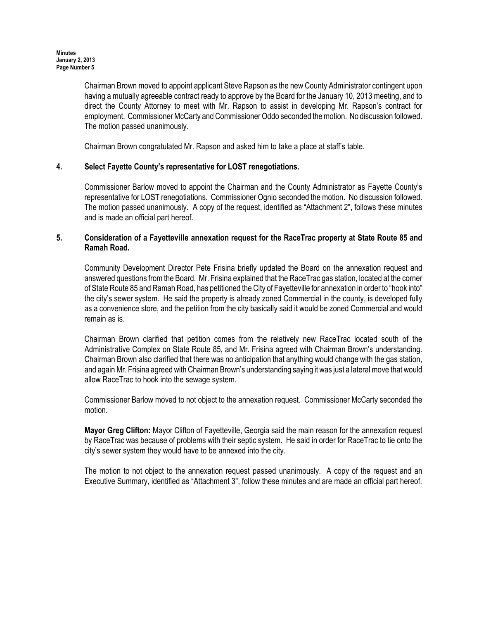Chairman Brown moved to appoint applicant Steve Rapson as the new County Administrator contingent upon having a mutually agreeable contract ready to approve by the Board for the January 10, 2013 meeting, and to direct the County Attorney to meet with Mr. Rapson to assist in developing Mr. Rapson's contract for employment. Commissioner McCarty and Commissioner Oddo seconded the motion. No discussion followed. The motion passed unanimously.

Chairman Brown congratulated Mr. Rapson and asked him to take a place at staff's table.

# 4. Select Fayette County's representative for LOST renegotiations.

Commissioner Barlow moved to appoint the Chairman and the County Administrator as Fayette County's representative for LOST renegotiations. Commissioner Ognio seconded the motion. No discussion followed. The motion passed unanimously. A copy of the request, identified as "Attachment 2", follows these minutes and is made an official part hereof.

# 5. Consideration of a Fayetteville annexation request for the RaceTrac property at State Route 85 and Ramah Road.

Community Development Director Pete Frisina briefly updated the Board on the annexation request and answered questions from the Board. Mr. Frisina explained that the RaceTrac gas station, located at the corner of State Route 85 and Ramah Road, has petitioned the City of Fayetteville for annexation in order to "hook into" the city's sewer system. He said the property is already zoned Commercial in the county, is developed fully as a convenience store, and the petition from the city basically said it would be zoned Commercial and would remain as is.

Chairman Brown clarified that petition comes from the relatively new RaceTrac located south of the Administrative Complex on State Route 85, and Mr. Frisina agreed with Chairman Brown's understanding. Chairman Brown also clarified that there was no anticipation that anything would change with the gas station, and again Mr. Frisina agreed with Chairman Brown's understanding saying it was just a lateral move that would allow RaceTrac to hook into the sewage system.

Commissioner Barlow moved to not object to the annexation request. Commissioner McCarty seconded the motion.

Mayor Greg Clifton: Mayor Clifton of Fayetteville, Georgia said the main reason for the annexation request by RaceTrac was because of problems with their septic system. He said in order for RaceTrac to tie onto the city's sewer system they would have to be annexed into the city.

The motion to not object to the annexation request passed unanimously. A copy of the request and an Executive Summary, identified as "Attachment 3", follow these minutes and are made an official part hereof.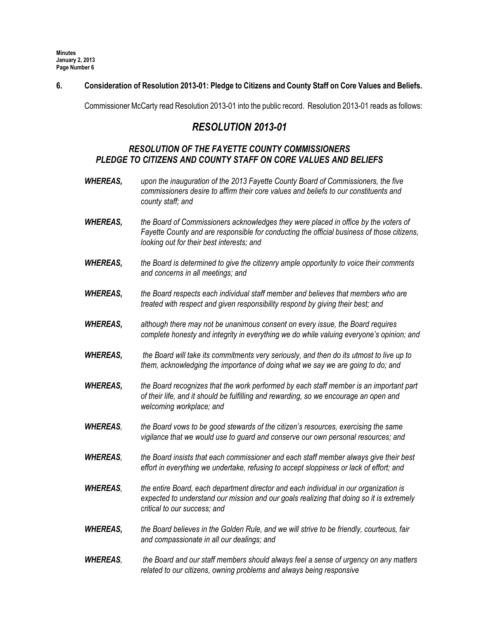# 6. Consideration of Resolution 2013-01: Pledge to Citizens and County Staff on Core Values and Beliefs.

Commissioner McCarty read Resolution 2013-01 into the public record. Resolution 2013-01 reads as follows:

# RESOLUTION 2013-01

# RESOLUTION OF THE FAYETTE COUNTY COMMISSIONERS PLEDGE TO CITIZENS AND COUNTY STAFF ON CORE VALUES AND BELIEFS

- WHEREAS, upon the inauguration of the 2013 Fayette County Board of Commissioners, the five commissioners desire to affirm their core values and beliefs to our constituents and county staff; and
- WHEREAS, the Board of Commissioners acknowledges they were placed in office by the voters of Fayette County and are responsible for conducting the official business of those citizens, looking out for their best interests; and
- **WHEREAS,** the Board is determined to give the citizenry ample opportunity to voice their comments and concerns in all meetings; and
- WHEREAS, the Board respects each individual staff member and believes that members who are treated with respect and given responsibility respond by giving their best; and
- **WHEREAS,** although there may not be unanimous consent on every issue, the Board requires complete honesty and integrity in everything we do while valuing everyone's opinion; and
- **WHEREAS,** the Board will take its commitments very seriously, and then do its utmost to live up to them, acknowledging the importance of doing what we say we are going to do; and
- **WHEREAS,** the Board recognizes that the work performed by each staff member is an important part of their life, and it should be fulfilling and rewarding, so we encourage an open and welcoming workplace; and
- **WHEREAS,** the Board vows to be good stewards of the citizen's resources, exercising the same vigilance that we would use to guard and conserve our own personal resources; and
- **WHEREAS**, the Board insists that each commissioner and each staff member always give their best effort in everything we undertake, refusing to accept sloppiness or lack of effort; and
- **WHEREAS**, the entire Board, each department director and each individual in our organization is expected to understand our mission and our goals realizing that doing so it is extremely critical to our success; and
- **WHEREAS,** the Board believes in the Golden Rule, and we will strive to be friendly, courteous, fair and compassionate in all our dealings; and
- **WHEREAS,** the Board and our staff members should always feel a sense of urgency on any matters related to our citizens, owning problems and always being responsive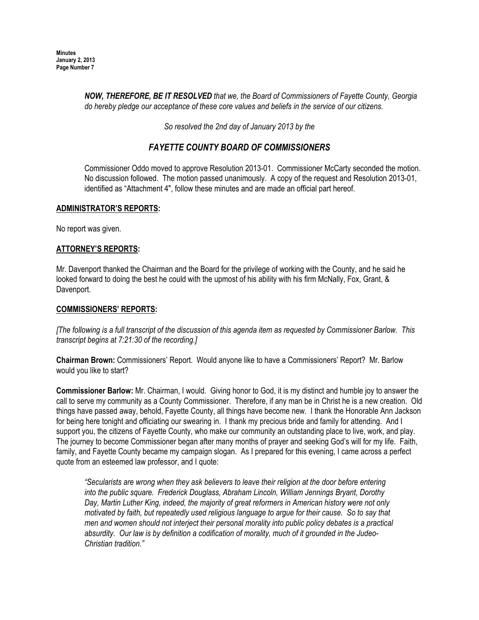NOW, THEREFORE, BE IT RESOLVED that we, the Board of Commissioners of Fayette County, Georgia do hereby pledge our acceptance of these core values and beliefs in the service of our citizens.

So resolved the 2nd day of January 2013 by the

# FAYETTE COUNTY BOARD OF COMMISSIONERS

Commissioner Oddo moved to approve Resolution 2013-01. Commissioner McCarty seconded the motion. No discussion followed. The motion passed unanimously. A copy of the request and Resolution 2013-01, identified as "Attachment 4", follow these minutes and are made an official part hereof.

#### ADMINISTRATOR'S REPORTS:

No report was given.

## ATTORNEY'S REPORTS:

Mr. Davenport thanked the Chairman and the Board for the privilege of working with the County, and he said he looked forward to doing the best he could with the upmost of his ability with his firm McNally, Fox, Grant, & Davenport.

## COMMISSIONERS' REPORTS:

[The following is a full transcript of the discussion of this agenda item as requested by Commissioner Barlow. This transcript begins at 7:21:30 of the recording.]

Chairman Brown: Commissioners' Report. Would anyone like to have a Commissioners' Report? Mr. Barlow would you like to start?

Commissioner Barlow: Mr. Chairman, I would. Giving honor to God, it is my distinct and humble joy to answer the call to serve my community as a County Commissioner. Therefore, if any man be in Christ he is a new creation. Old things have passed away, behold, Fayette County, all things have become new. I thank the Honorable Ann Jackson for being here tonight and officiating our swearing in. I thank my precious bride and family for attending. And I support you, the citizens of Fayette County, who make our community an outstanding place to live, work, and play. The journey to become Commissioner began after many months of prayer and seeking God's will for my life. Faith, family, and Fayette County became my campaign slogan. As I prepared for this evening, I came across a perfect quote from an esteemed law professor, and I quote:

"Secularists are wrong when they ask believers to leave their religion at the door before entering into the public square. Frederick Douglass, Abraham Lincoln, William Jennings Bryant, Dorothy Day, Martin Luther King, indeed, the majority of great reformers in American history were not only motivated by faith, but repeatedly used religious language to argue for their cause. So to say that men and women should not interject their personal morality into public policy debates is a practical absurdity. Our law is by definition a codification of morality, much of it grounded in the Judeo-Christian tradition."